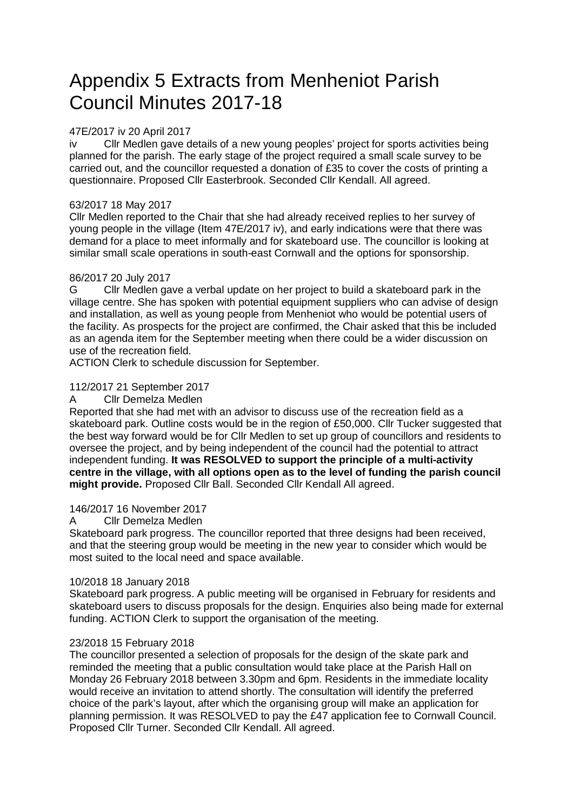# Appendix 5 Extracts from Menheniot Parish Council Minutes 2017-18

# 47E/2017 iv 20 April 2017

iv Cllr Medlen gave details of a new young peoples' project for sports activities being planned for the parish. The early stage of the project required a small scale survey to be carried out, and the councillor requested a donation of £35 to cover the costs of printing a questionnaire. Proposed Cllr Easterbrook. Seconded Cllr Kendall. All agreed.

# 63/2017 18 May 2017

Cllr Medlen reported to the Chair that she had already received replies to her survey of young people in the village (Item 47E/2017 iv), and early indications were that there was demand for a place to meet informally and for skateboard use. The councillor is looking at similar small scale operations in south-east Cornwall and the options for sponsorship.

# 86/2017 20 July 2017

G Cllr Medlen gave a verbal update on her project to build a skateboard park in the village centre. She has spoken with potential equipment suppliers who can advise of design and installation, as well as young people from Menheniot who would be potential users of the facility. As prospects for the project are confirmed, the Chair asked that this be included as an agenda item for the September meeting when there could be a wider discussion on use of the recreation field.

ACTION Clerk to schedule discussion for September.

# 112/2017 21 September 2017

#### A Cllr Demelza Medlen

Reported that she had met with an advisor to discuss use of the recreation field as a skateboard park. Outline costs would be in the region of £50,000. Cllr Tucker suggested that the best way forward would be for Cllr Medlen to set up group of councillors and residents to oversee the project, and by being independent of the council had the potential to attract independent funding. **It was RESOLVED to support the principle of a multi-activity centre in the village, with all options open as to the level of funding the parish council might provide.** Proposed Cllr Ball. Seconded Cllr Kendall All agreed.

## 146/2017 16 November 2017

## A Cllr Demelza Medlen

Skateboard park progress. The councillor reported that three designs had been received, and that the steering group would be meeting in the new year to consider which would be most suited to the local need and space available.

## 10/2018 18 January 2018

Skateboard park progress. A public meeting will be organised in February for residents and skateboard users to discuss proposals for the design. Enquiries also being made for external funding. ACTION Clerk to support the organisation of the meeting.

## 23/2018 15 February 2018

The councillor presented a selection of proposals for the design of the skate park and reminded the meeting that a public consultation would take place at the Parish Hall on Monday 26 February 2018 between 3.30pm and 6pm. Residents in the immediate locality would receive an invitation to attend shortly. The consultation will identify the preferred choice of the park's layout, after which the organising group will make an application for planning permission. It was RESOLVED to pay the £47 application fee to Cornwall Council. Proposed Cllr Turner. Seconded Cllr Kendall. All agreed.